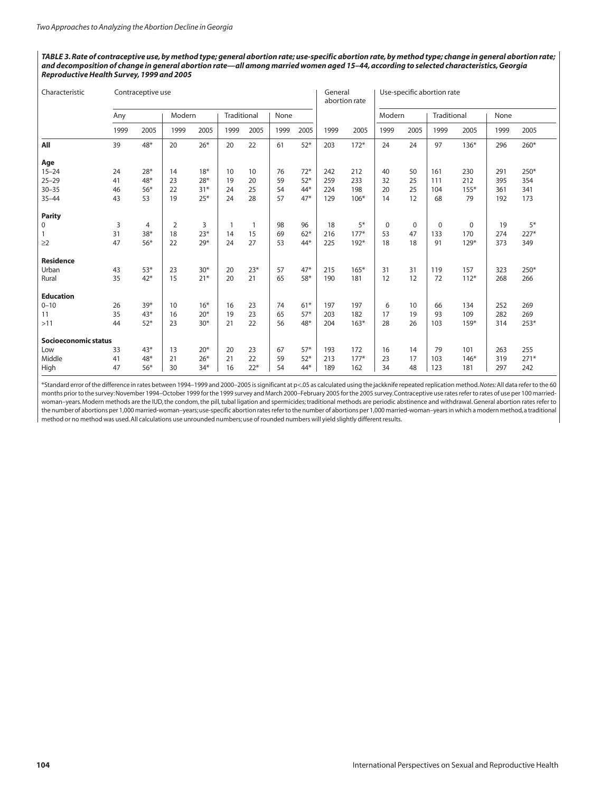TABLE 3. Rate of contraceptive use, by method type; general abortion rate; use-specific abortion rate, by method type; change in general abortion rate; and decomposition of change in general abortion rate-all among married women aged 15-44, according to selected characteristics, Georgia *ReproductiveHealth Survey,1999 and 2005*

| Characteristic       |      | Contraceptive use |        |       |             |       |      |       | General | abortion rate | Use-specific abortion rate |             |             |             |      |        |
|----------------------|------|-------------------|--------|-------|-------------|-------|------|-------|---------|---------------|----------------------------|-------------|-------------|-------------|------|--------|
|                      | Any  |                   | Modern |       | Traditional |       | None |       |         |               | Modern                     |             | Traditional |             | None |        |
|                      | 1999 | 2005              | 1999   | 2005  | 1999        | 2005  | 1999 | 2005  | 1999    | 2005          | 1999                       | 2005        | 1999        | 2005        | 1999 | 2005   |
| All                  | 39   | 48*               | 20     | $26*$ | 20          | 22    | 61   | $52*$ | 203     | $172*$        | 24                         | 24          | 97          | $136*$      | 296  | $260*$ |
| Age                  |      |                   |        |       |             |       |      |       |         |               |                            |             |             |             |      |        |
| $15 - 24$            | 24   | $28*$             | 14     | $18*$ | 10          | 10    | 76   | $72*$ | 242     | 212           | 40                         | 50          | 161         | 230         | 291  | 250*   |
| $25 - 29$            | 41   | $48*$             | 23     | $28*$ | 19          | 20    | 59   | $52*$ | 259     | 233           | 32                         | 25          | 111         | 212         | 395  | 354    |
| $30 - 35$            | 46   | $56*$             | 22     | $31*$ | 24          | 25    | 54   | 44*   | 224     | 198           | 20                         | 25          | 104         | $155*$      | 361  | 341    |
| $35 - 44$            | 43   | 53                | 19     | $25*$ | 24          | 28    | 57   | $47*$ | 129     | $106*$        | 14                         | 12          | 68          | 79          | 192  | 173    |
| <b>Parity</b>        |      |                   |        |       |             |       |      |       |         |               |                            |             |             |             |      |        |
| 0                    | 3    | 4                 | 2      | 3     |             |       | 98   | 96    | 18      | $5*$          | 0                          | $\mathbf 0$ | $\mathbf 0$ | $\mathbf 0$ | 19   | $5*$   |
| 1                    | 31   | $38*$             | 18     | $23*$ | 14          | 15    | 69   | $62*$ | 216     | $177*$        | 53                         | 47          | 133         | 170         | 274  | 227*   |
| $\geq$ 2             | 47   | $56*$             | 22     | $29*$ | 24          | 27    | 53   | 44*   | 225     | $192*$        | 18                         | 18          | 91          | $129*$      | 373  | 349    |
| <b>Residence</b>     |      |                   |        |       |             |       |      |       |         |               |                            |             |             |             |      |        |
| Urban                | 43   | $53*$             | 23     | $30*$ | 20          | $23*$ | 57   | $47*$ | 215     | $165*$        | 31                         | 31          | 119         | 157         | 323  | 250*   |
| Rural                | 35   | $42*$             | 15     | $21*$ | 20          | 21    | 65   | 58*   | 190     | 181           | 12                         | 12          | 72          | $112*$      | 268  | 266    |
| <b>Education</b>     |      |                   |        |       |             |       |      |       |         |               |                            |             |             |             |      |        |
| $0 - 10$             | 26   | $39*$             | 10     | $16*$ | 16          | 23    | 74   | $61*$ | 197     | 197           | 6                          | 10          | 66          | 134         | 252  | 269    |
| 11                   | 35   | $43*$             | 16     | $20*$ | 19          | 23    | 65   | $57*$ | 203     | 182           | 17                         | 19          | 93          | 109         | 282  | 269    |
| $>11$                | 44   | $52*$             | 23     | $30*$ | 21          | 22    | 56   | 48*   | 204     | $163*$        | 28                         | 26          | 103         | 159*        | 314  | 253*   |
| Socioeconomic status |      |                   |        |       |             |       |      |       |         |               |                            |             |             |             |      |        |
| Low                  | 33   | $43*$             | 13     | $20*$ | 20          | 23    | 67   | $57*$ | 193     | 172           | 16                         | 14          | 79          | 101         | 263  | 255    |
| Middle               | 41   | 48*               | 21     | $26*$ | 21          | 22    | 59   | $52*$ | 213     | $177*$        | 23                         | 17          | 103         | $146*$      | 319  | $271*$ |
| High                 | 47   | $56*$             | 30     | $34*$ | 16          | $22*$ | 54   | 44*   | 189     | 162           | 34                         | 48          | 123         | 181         | 297  | 242    |

\*Standard error of the difference in rates between 1994–1999 and 2000–2005 issignificant at p<.05 as calculated using the jackknife repeated replication method.*Notes:*All data refer to the 60 months priorto the survey:November 1994–October 1999 forthe 1999 survey and March 2000–February 2005 forthe 2005 survey.Contraceptive use ratesreferto rates of use per 100 marriedwoman–years.Modern methods are the IUD,the condom,the pill,tubal ligation and spermicides;traditional methods are periodic abstinence and withdrawal.General abortion rates refer to the number of abortions per 1,000 married-woman–years;use-specific abortion ratesreferto the number of abortions per 1,000 married-woman–yearsin which a modern method,a traditional method or no method was used.All calculations use unrounded numbers;use of rounded numbers will yield slightly different results.